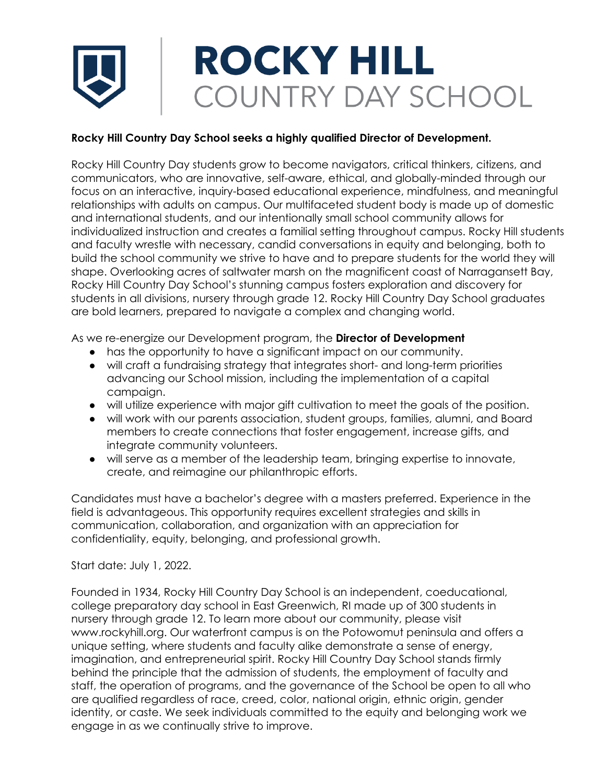## **ROCKY HILL** COUNTRY DAY SCHOOL

## **Rocky Hill Country Day School seeks a highly qualified Director of Development.**

Rocky Hill Country Day students grow to become navigators, critical thinkers, citizens, and communicators, who are innovative, self-aware, ethical, and globally-minded through our focus on an interactive, inquiry-based educational experience, mindfulness, and meaningful relationships with adults on campus. Our multifaceted student body is made up of domestic and international students, and our intentionally small school community allows for individualized instruction and creates a familial setting throughout campus. Rocky Hill students and faculty wrestle with necessary, candid conversations in equity and belonging, both to build the school community we strive to have and to prepare students for the world they will shape. Overlooking acres of saltwater marsh on the magnificent coast of Narragansett Bay, Rocky Hill Country Day School's stunning campus fosters exploration and discovery for students in all divisions, nursery through grade 12. Rocky Hill Country Day School graduates are bold learners, prepared to navigate a complex and changing world.

As we re-energize our Development program, the **Director of Development**

- has the opportunity to have a significant impact on our community.
- will craft a fundraising strategy that integrates short- and long-term priorities advancing our School mission, including the implementation of a capital campaign.
- will utilize experience with major gift cultivation to meet the goals of the position.
- will work with our parents association, student groups, families, alumni, and Board members to create connections that foster engagement, increase gifts, and integrate community volunteers.
- will serve as a member of the leadership team, bringing expertise to innovate, create, and reimagine our philanthropic efforts.

Candidates must have a bachelor's degree with a masters preferred. Experience in the field is advantageous. This opportunity requires excellent strategies and skills in communication, collaboration, and organization with an appreciation for confidentiality, equity, belonging, and professional growth.

Start date: July 1, 2022.

Founded in 1934, Rocky Hill Country Day School is an independent, coeducational, college preparatory day school in East Greenwich, RI made up of 300 students in nursery through grade 12. To learn more about our community, please visit www.rockyhill.org. Our waterfront campus is on the Potowomut peninsula and offers a unique setting, where students and faculty alike demonstrate a sense of energy, imagination, and entrepreneurial spirit. Rocky Hill Country Day School stands firmly behind the principle that the admission of students, the employment of faculty and staff, the operation of programs, and the governance of the School be open to all who are qualified regardless of race, creed, color, national origin, ethnic origin, gender identity, or caste. We seek individuals committed to the equity and belonging work we engage in as we continually strive to improve.